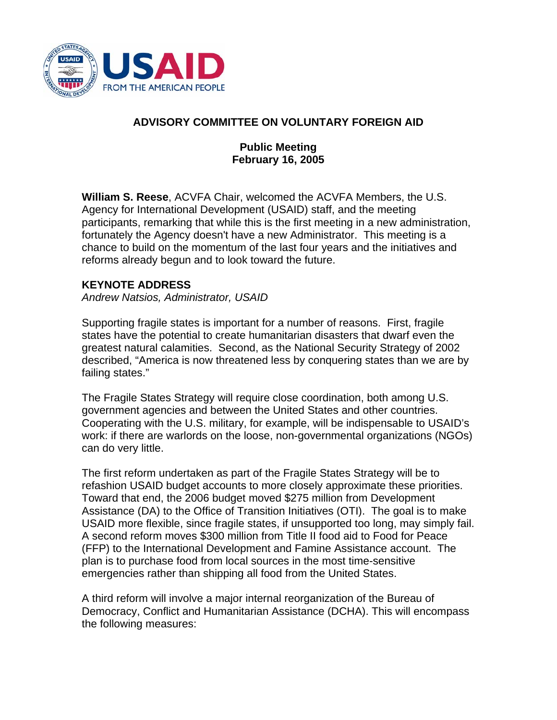

# **ADVISORY COMMITTEE ON VOLUNTARY FOREIGN AID**

## **Public Meeting February 16, 2005**

**William S. Reese**, ACVFA Chair, welcomed the ACVFA Members, the U.S. Agency for International Development (USAID) staff, and the meeting participants, remarking that while this is the first meeting in a new administration, fortunately the Agency doesn't have a new Administrator. This meeting is a chance to build on the momentum of the last four years and the initiatives and reforms already begun and to look toward the future.

### **KEYNOTE ADDRESS**

*Andrew Natsios, Administrator, USAID* 

Supporting fragile states is important for a number of reasons. First, fragile states have the potential to create humanitarian disasters that dwarf even the greatest natural calamities. Second, as the National Security Strategy of 2002 described, "America is now threatened less by conquering states than we are by failing states."

The Fragile States Strategy will require close coordination, both among U.S. government agencies and between the United States and other countries. Cooperating with the U.S. military, for example, will be indispensable to USAID's work: if there are warlords on the loose, non-governmental organizations (NGOs) can do very little.

The first reform undertaken as part of the Fragile States Strategy will be to refashion USAID budget accounts to more closely approximate these priorities. Toward that end, the 2006 budget moved \$275 million from Development Assistance (DA) to the Office of Transition Initiatives (OTI). The goal is to make USAID more flexible, since fragile states, if unsupported too long, may simply fail. A second reform moves \$300 million from Title II food aid to Food for Peace (FFP) to the International Development and Famine Assistance account. The plan is to purchase food from local sources in the most time-sensitive emergencies rather than shipping all food from the United States.

A third reform will involve a major internal reorganization of the Bureau of Democracy, Conflict and Humanitarian Assistance (DCHA). This will encompass the following measures: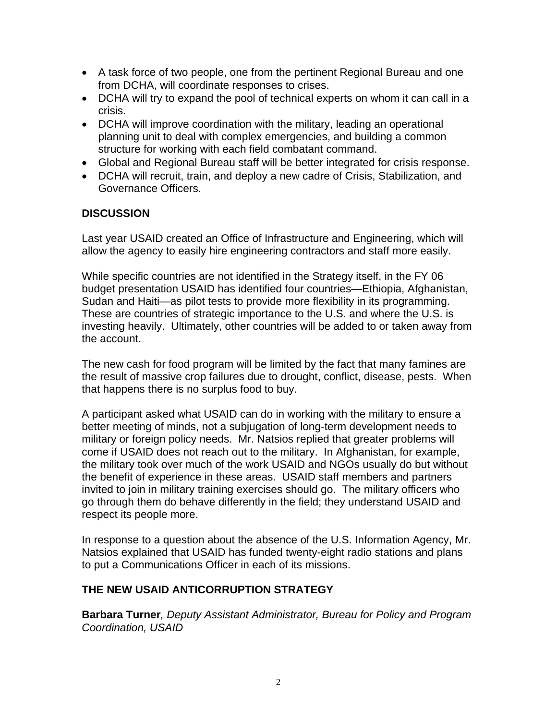- A task force of two people, one from the pertinent Regional Bureau and one from DCHA, will coordinate responses to crises.
- DCHA will try to expand the pool of technical experts on whom it can call in a crisis.
- DCHA will improve coordination with the military, leading an operational planning unit to deal with complex emergencies, and building a common structure for working with each field combatant command.
- Global and Regional Bureau staff will be better integrated for crisis response.
- DCHA will recruit, train, and deploy a new cadre of Crisis, Stabilization, and Governance Officers.

### **DISCUSSION**

Last year USAID created an Office of Infrastructure and Engineering, which will allow the agency to easily hire engineering contractors and staff more easily.

While specific countries are not identified in the Strategy itself, in the FY 06 budget presentation USAID has identified four countries—Ethiopia, Afghanistan, Sudan and Haiti—as pilot tests to provide more flexibility in its programming. These are countries of strategic importance to the U.S. and where the U.S. is investing heavily. Ultimately, other countries will be added to or taken away from the account.

The new cash for food program will be limited by the fact that many famines are the result of massive crop failures due to drought, conflict, disease, pests. When that happens there is no surplus food to buy.

A participant asked what USAID can do in working with the military to ensure a better meeting of minds, not a subjugation of long-term development needs to military or foreign policy needs. Mr. Natsios replied that greater problems will come if USAID does not reach out to the military. In Afghanistan, for example, the military took over much of the work USAID and NGOs usually do but without the benefit of experience in these areas. USAID staff members and partners invited to join in military training exercises should go. The military officers who go through them do behave differently in the field; they understand USAID and respect its people more.

In response to a question about the absence of the U.S. Information Agency, Mr. Natsios explained that USAID has funded twenty-eight radio stations and plans to put a Communications Officer in each of its missions.

# **THE NEW USAID ANTICORRUPTION STRATEGY**

**Barbara Turner***, Deputy Assistant Administrator, Bureau for Policy and Program Coordination, USAID*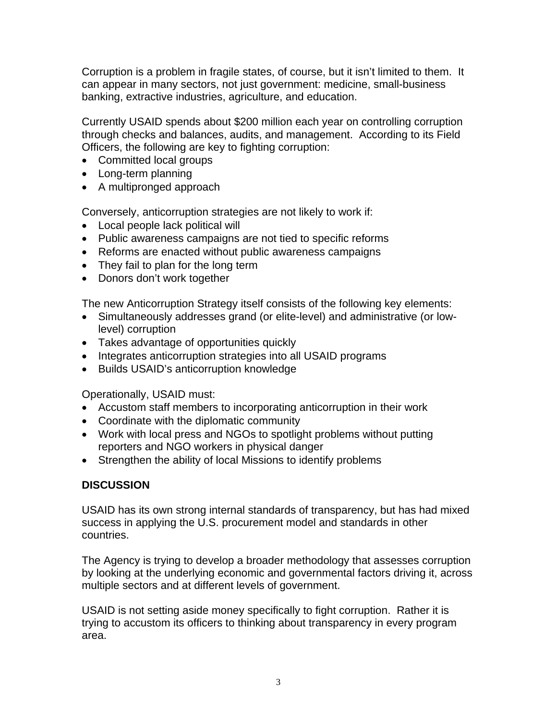Corruption is a problem in fragile states, of course, but it isn't limited to them. It can appear in many sectors, not just government: medicine, small-business banking, extractive industries, agriculture, and education.

Currently USAID spends about \$200 million each year on controlling corruption through checks and balances, audits, and management. According to its Field Officers, the following are key to fighting corruption:

- Committed local groups
- Long-term planning
- A multipronged approach

Conversely, anticorruption strategies are not likely to work if:

- Local people lack political will
- Public awareness campaigns are not tied to specific reforms
- Reforms are enacted without public awareness campaigns
- They fail to plan for the long term
- Donors don't work together

The new Anticorruption Strategy itself consists of the following key elements:

- Simultaneously addresses grand (or elite-level) and administrative (or lowlevel) corruption
- Takes advantage of opportunities quickly
- Integrates anticorruption strategies into all USAID programs
- Builds USAID's anticorruption knowledge

Operationally, USAID must:

- Accustom staff members to incorporating anticorruption in their work
- Coordinate with the diplomatic community
- Work with local press and NGOs to spotlight problems without putting reporters and NGO workers in physical danger
- Strengthen the ability of local Missions to identify problems

# **DISCUSSION**

USAID has its own strong internal standards of transparency, but has had mixed success in applying the U.S. procurement model and standards in other countries.

The Agency is trying to develop a broader methodology that assesses corruption by looking at the underlying economic and governmental factors driving it, across multiple sectors and at different levels of government.

USAID is not setting aside money specifically to fight corruption. Rather it is trying to accustom its officers to thinking about transparency in every program area.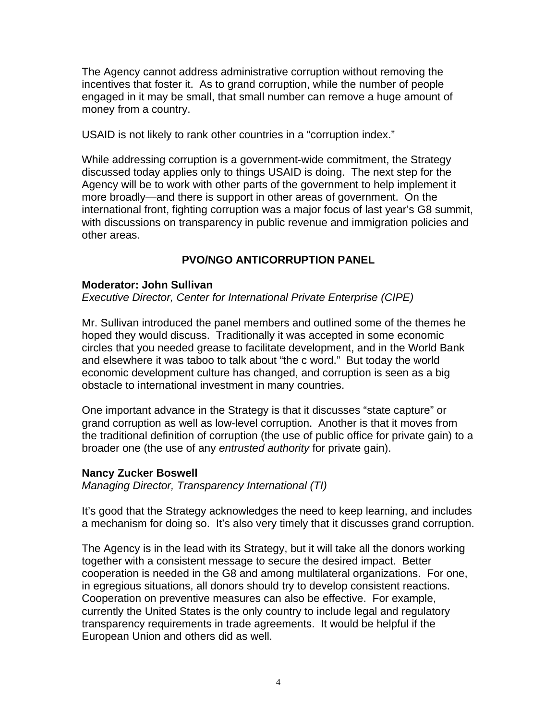The Agency cannot address administrative corruption without removing the incentives that foster it. As to grand corruption, while the number of people engaged in it may be small, that small number can remove a huge amount of money from a country.

USAID is not likely to rank other countries in a "corruption index."

While addressing corruption is a government-wide commitment, the Strategy discussed today applies only to things USAID is doing. The next step for the Agency will be to work with other parts of the government to help implement it more broadly—and there is support in other areas of government. On the international front, fighting corruption was a major focus of last year's G8 summit, with discussions on transparency in public revenue and immigration policies and other areas.

# **PVO/NGO ANTICORRUPTION PANEL**

### **Moderator: John Sullivan**

*Executive Director, Center for International Private Enterprise (CIPE)* 

Mr. Sullivan introduced the panel members and outlined some of the themes he hoped they would discuss. Traditionally it was accepted in some economic circles that you needed grease to facilitate development, and in the World Bank and elsewhere it was taboo to talk about "the c word." But today the world economic development culture has changed, and corruption is seen as a big obstacle to international investment in many countries.

One important advance in the Strategy is that it discusses "state capture" or grand corruption as well as low-level corruption. Another is that it moves from the traditional definition of corruption (the use of public office for private gain) to a broader one (the use of any *entrusted authority* for private gain).

#### **Nancy Zucker Boswell**

*Managing Director, Transparency International (TI)* 

It's good that the Strategy acknowledges the need to keep learning, and includes a mechanism for doing so. It's also very timely that it discusses grand corruption.

The Agency is in the lead with its Strategy, but it will take all the donors working together with a consistent message to secure the desired impact. Better cooperation is needed in the G8 and among multilateral organizations. For one, in egregious situations, all donors should try to develop consistent reactions. Cooperation on preventive measures can also be effective. For example, currently the United States is the only country to include legal and regulatory transparency requirements in trade agreements. It would be helpful if the European Union and others did as well.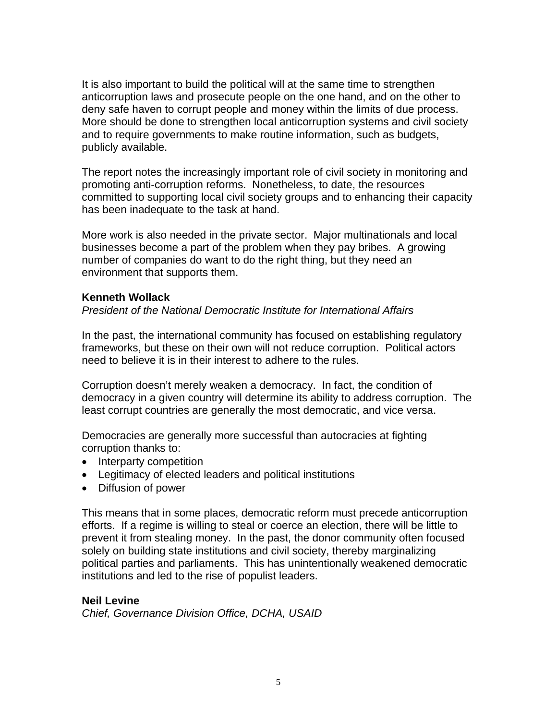It is also important to build the political will at the same time to strengthen anticorruption laws and prosecute people on the one hand, and on the other to deny safe haven to corrupt people and money within the limits of due process. More should be done to strengthen local anticorruption systems and civil society and to require governments to make routine information, such as budgets, publicly available.

The report notes the increasingly important role of civil society in monitoring and promoting anti-corruption reforms. Nonetheless, to date, the resources committed to supporting local civil society groups and to enhancing their capacity has been inadequate to the task at hand.

More work is also needed in the private sector. Major multinationals and local businesses become a part of the problem when they pay bribes. A growing number of companies do want to do the right thing, but they need an environment that supports them.

### **Kenneth Wollack**

### *President of the National Democratic Institute for International Affairs*

In the past, the international community has focused on establishing regulatory frameworks, but these on their own will not reduce corruption. Political actors need to believe it is in their interest to adhere to the rules.

Corruption doesn't merely weaken a democracy. In fact, the condition of democracy in a given country will determine its ability to address corruption. The least corrupt countries are generally the most democratic, and vice versa.

Democracies are generally more successful than autocracies at fighting corruption thanks to:

- Interparty competition
- Legitimacy of elected leaders and political institutions
- Diffusion of power

This means that in some places, democratic reform must precede anticorruption efforts. If a regime is willing to steal or coerce an election, there will be little to prevent it from stealing money. In the past, the donor community often focused solely on building state institutions and civil society, thereby marginalizing political parties and parliaments. This has unintentionally weakened democratic institutions and led to the rise of populist leaders.

#### **Neil Levine**

*Chief, Governance Division Office, DCHA, USAID*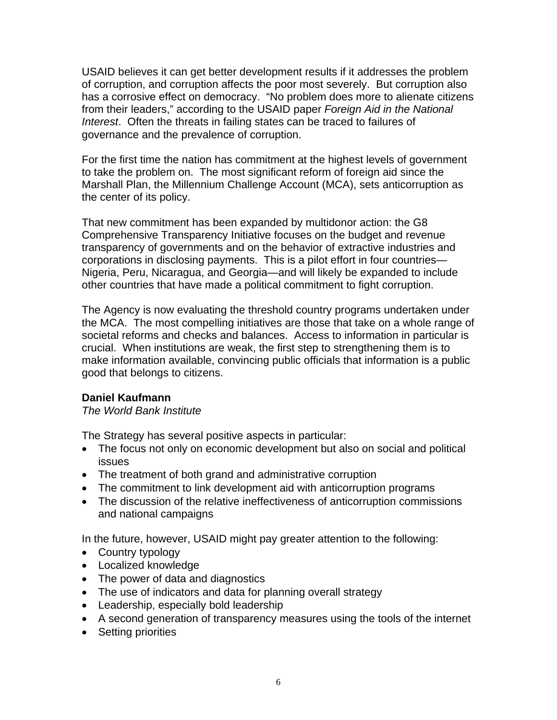USAID believes it can get better development results if it addresses the problem of corruption, and corruption affects the poor most severely. But corruption also has a corrosive effect on democracy. "No problem does more to alienate citizens from their leaders," according to the USAID paper *Foreign Aid in the National Interest*. Often the threats in failing states can be traced to failures of governance and the prevalence of corruption.

For the first time the nation has commitment at the highest levels of government to take the problem on. The most significant reform of foreign aid since the Marshall Plan, the Millennium Challenge Account (MCA), sets anticorruption as the center of its policy.

That new commitment has been expanded by multidonor action: the G8 Comprehensive Transparency Initiative focuses on the budget and revenue transparency of governments and on the behavior of extractive industries and corporations in disclosing payments. This is a pilot effort in four countries— Nigeria, Peru, Nicaragua, and Georgia—and will likely be expanded to include other countries that have made a political commitment to fight corruption.

The Agency is now evaluating the threshold country programs undertaken under the MCA. The most compelling initiatives are those that take on a whole range of societal reforms and checks and balances. Access to information in particular is crucial. When institutions are weak, the first step to strengthening them is to make information available, convincing public officials that information is a public good that belongs to citizens.

# **Daniel Kaufmann**

*The World Bank Institute* 

The Strategy has several positive aspects in particular:

- The focus not only on economic development but also on social and political issues
- The treatment of both grand and administrative corruption
- The commitment to link development aid with anticorruption programs
- The discussion of the relative ineffectiveness of anticorruption commissions and national campaigns

In the future, however, USAID might pay greater attention to the following:

- Country typology
- Localized knowledge
- The power of data and diagnostics
- The use of indicators and data for planning overall strategy
- Leadership, especially bold leadership
- A second generation of transparency measures using the tools of the internet
- Setting priorities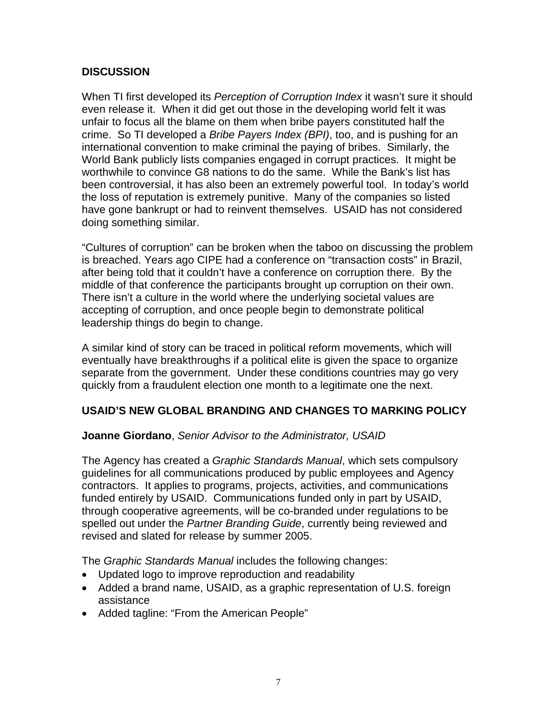## **DISCUSSION**

When TI first developed its *Perception of Corruption Index* it wasn't sure it should even release it. When it did get out those in the developing world felt it was unfair to focus all the blame on them when bribe payers constituted half the crime. So TI developed a *Bribe Payers Index (BPI)*, too, and is pushing for an international convention to make criminal the paying of bribes. Similarly, the World Bank publicly lists companies engaged in corrupt practices. It might be worthwhile to convince G8 nations to do the same. While the Bank's list has been controversial, it has also been an extremely powerful tool. In today's world the loss of reputation is extremely punitive. Many of the companies so listed have gone bankrupt or had to reinvent themselves. USAID has not considered doing something similar.

"Cultures of corruption" can be broken when the taboo on discussing the problem is breached. Years ago CIPE had a conference on "transaction costs" in Brazil, after being told that it couldn't have a conference on corruption there. By the middle of that conference the participants brought up corruption on their own. There isn't a culture in the world where the underlying societal values are accepting of corruption, and once people begin to demonstrate political leadership things do begin to change.

A similar kind of story can be traced in political reform movements, which will eventually have breakthroughs if a political elite is given the space to organize separate from the government. Under these conditions countries may go very quickly from a fraudulent election one month to a legitimate one the next.

### **USAID'S NEW GLOBAL BRANDING AND CHANGES TO MARKING POLICY**

### **Joanne Giordano**, *Senior Advisor to the Administrator, USAID*

The Agency has created a *Graphic Standards Manual*, which sets compulsory guidelines for all communications produced by public employees and Agency contractors. It applies to programs, projects, activities, and communications funded entirely by USAID. Communications funded only in part by USAID, through cooperative agreements, will be co-branded under regulations to be spelled out under the *Partner Branding Guide*, currently being reviewed and revised and slated for release by summer 2005.

The *Graphic Standards Manual* includes the following changes:

- Updated logo to improve reproduction and readability
- Added a brand name, USAID, as a graphic representation of U.S. foreign assistance
- Added tagline: "From the American People"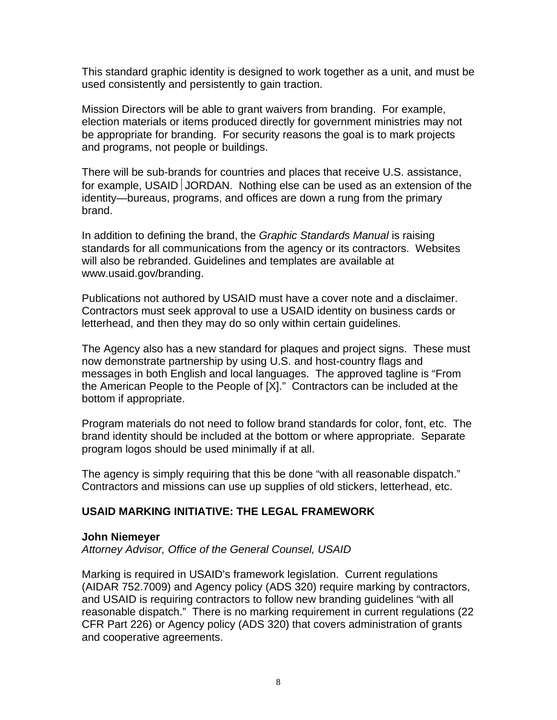This standard graphic identity is designed to work together as a unit, and must be used consistently and persistently to gain traction.

Mission Directors will be able to grant waivers from branding. For example, election materials or items produced directly for government ministries may not be appropriate for branding. For security reasons the goal is to mark projects and programs, not people or buildings.

There will be sub-brands for countries and places that receive U.S. assistance, for example, USAID JORDAN. Nothing else can be used as an extension of the identity—bureaus, programs, and offices are down a rung from the primary brand.

In addition to defining the brand, the *Graphic Standards Manual* is raising standards for all communications from the agency or its contractors. Websites will also be rebranded. Guidelines and templates are available at www.usaid.gov/branding.

Publications not authored by USAID must have a cover note and a disclaimer. Contractors must seek approval to use a USAID identity on business cards or letterhead, and then they may do so only within certain guidelines.

The Agency also has a new standard for plaques and project signs. These must now demonstrate partnership by using U.S. and host-country flags and messages in both English and local languages. The approved tagline is "From the American People to the People of [X]." Contractors can be included at the bottom if appropriate.

Program materials do not need to follow brand standards for color, font, etc. The brand identity should be included at the bottom or where appropriate. Separate program logos should be used minimally if at all.

The agency is simply requiring that this be done "with all reasonable dispatch." Contractors and missions can use up supplies of old stickers, letterhead, etc.

### **USAID MARKING INITIATIVE: THE LEGAL FRAMEWORK**

#### **John Niemeyer**

*Attorney Advisor, Office of the General Counsel, USAID* 

Marking is required in USAID's framework legislation. Current regulations (AIDAR 752.7009) and Agency policy (ADS 320) require marking by contractors, and USAID is requiring contractors to follow new branding guidelines "with all reasonable dispatch." There is no marking requirement in current regulations (22 CFR Part 226) or Agency policy (ADS 320) that covers administration of grants and cooperative agreements.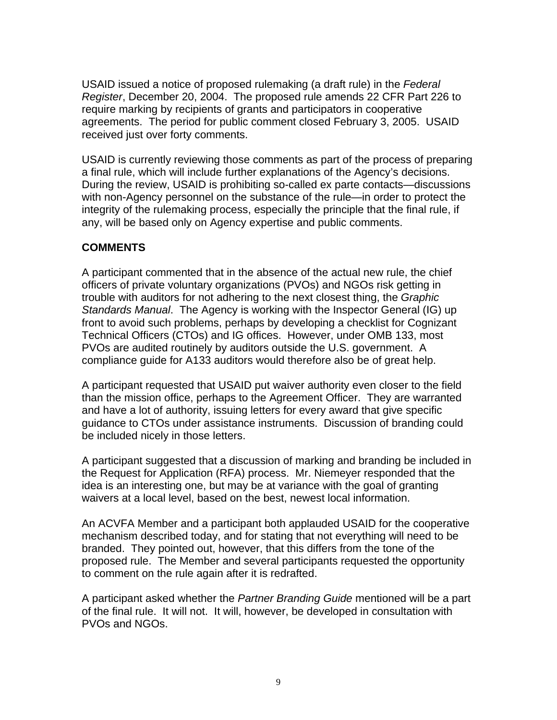USAID issued a notice of proposed rulemaking (a draft rule) in the *Federal Register*, December 20, 2004. The proposed rule amends 22 CFR Part 226 to require marking by recipients of grants and participators in cooperative agreements. The period for public comment closed February 3, 2005. USAID received just over forty comments.

USAID is currently reviewing those comments as part of the process of preparing a final rule, which will include further explanations of the Agency's decisions. During the review, USAID is prohibiting so-called ex parte contacts—discussions with non-Agency personnel on the substance of the rule—in order to protect the integrity of the rulemaking process, especially the principle that the final rule, if any, will be based only on Agency expertise and public comments.

# **COMMENTS**

A participant commented that in the absence of the actual new rule, the chief officers of private voluntary organizations (PVOs) and NGOs risk getting in trouble with auditors for not adhering to the next closest thing, the *Graphic Standards Manual*. The Agency is working with the Inspector General (IG) up front to avoid such problems, perhaps by developing a checklist for Cognizant Technical Officers (CTOs) and IG offices. However, under OMB 133, most PVOs are audited routinely by auditors outside the U.S. government. A compliance guide for A133 auditors would therefore also be of great help.

A participant requested that USAID put waiver authority even closer to the field than the mission office, perhaps to the Agreement Officer. They are warranted and have a lot of authority, issuing letters for every award that give specific guidance to CTOs under assistance instruments. Discussion of branding could be included nicely in those letters.

A participant suggested that a discussion of marking and branding be included in the Request for Application (RFA) process. Mr. Niemeyer responded that the idea is an interesting one, but may be at variance with the goal of granting waivers at a local level, based on the best, newest local information.

An ACVFA Member and a participant both applauded USAID for the cooperative mechanism described today, and for stating that not everything will need to be branded. They pointed out, however, that this differs from the tone of the proposed rule. The Member and several participants requested the opportunity to comment on the rule again after it is redrafted.

A participant asked whether the *Partner Branding Guide* mentioned will be a part of the final rule. It will not. It will, however, be developed in consultation with PVOs and NGOs.